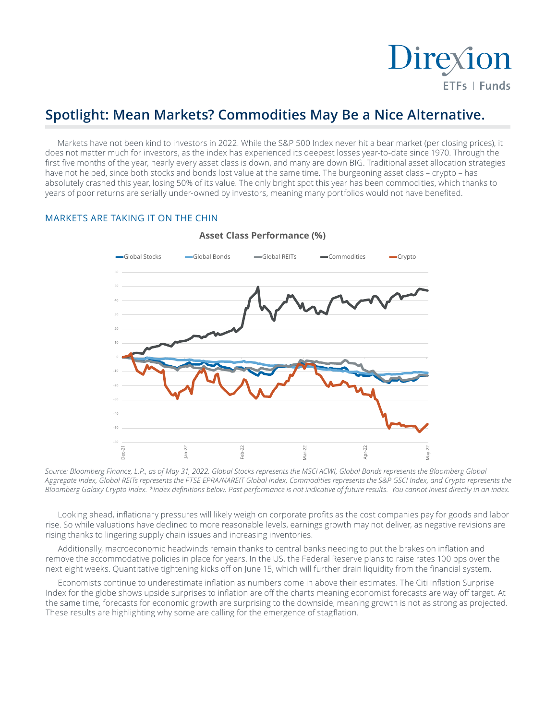

# **Spotlight: Mean Markets? Commodities May Be a Nice Alternative.**

Markets have not been kind to investors in 2022. While the S&P 500 Index never hit a bear market (per closing prices), it does not matter much for investors, as the index has experienced its deepest losses year-to-date since 1970. Through the first five months of the year, nearly every asset class is down, and many are down BIG. Traditional asset allocation strategies have not helped, since both stocks and bonds lost value at the same time. The burgeoning asset class – crypto – has absolutely crashed this year, losing 50% of its value. The only bright spot this year has been commodities, which thanks to years of poor returns are serially under-owned by investors, meaning many portfolios would not have benefited.

## MARKETS ARE TAKING IT ON THE CHIN



## **Asset Class Performance (%)**

*Source: Bloomberg Finance, L.P., as of May 31, 2022. Global Stocks represents the MSCI ACWI, Global Bonds represents the Bloomberg Global*  Aggregate Index, Global REITs represents the FTSE EPRA/NAREIT Global Index, Commodities represents the S&P GSCI Index, and Crypto represents the *Bloomberg Galaxy Crypto Index. \*Index definitions below. Past performance is not indicative of future results. You cannot invest directly in an index.*

Looking ahead, inflationary pressures will likely weigh on corporate profits as the cost companies pay for goods and labor rise. So while valuations have declined to more reasonable levels, earnings growth may not deliver, as negative revisions are rising thanks to lingering supply chain issues and increasing inventories.

Additionally, macroeconomic headwinds remain thanks to central banks needing to put the brakes on inflation and remove the accommodative policies in place for years. In the US, the Federal Reserve plans to raise rates 100 bps over the next eight weeks. Quantitative tightening kicks off on June 15, which will further drain liquidity from the financial system.

Economists continue to underestimate inflation as numbers come in above their estimates. The Citi Inflation Surprise Index for the globe shows upside surprises to inflation are off the charts meaning economist forecasts are way off target. At the same time, forecasts for economic growth are surprising to the downside, meaning growth is not as strong as projected. These results are highlighting why some are calling for the emergence of stagflation.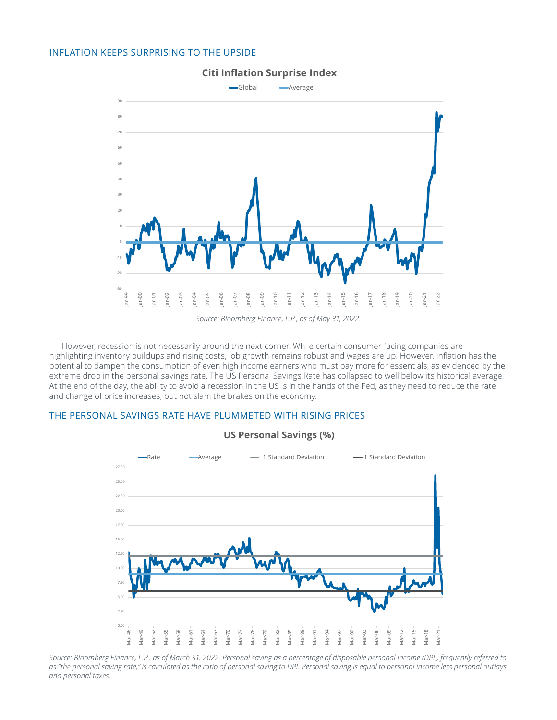### INFLATION KEEPS SURPRISING TO THE UPSIDE



# **Citi Inflation Surprise Index**

However, recession is not necessarily around the next corner. While certain consumer-facing companies are highlighting inventory buildups and rising costs, job growth remains robust and wages are up. However, inflation has the potential to dampen the consumption of even high income earners who must pay more for essentials, as evidenced by the extreme drop in the personal savings rate. The US Personal Savings Rate has collapsed to well below its historical average. At the end of the day, the ability to avoid a recession in the US is in the hands of the Fed, as they need to reduce the rate and change of price increases, but not slam the brakes on the economy.

# THE PERSONAL SAVINGS RATE HAVE PLUMMETED WITH RISING PRICES



# **US Personal Savings (%)**

*Source: Bloomberg Finance, L.P., as of March 31, 2022. Personal saving as a percentage of disposable personal income (DPI), frequently referred to*  as "the personal saving rate," is calculated as the ratio of personal saving to DPI. Personal saving is equal to personal income less personal outlays *and personal taxes.*

*Source: Bloomberg Finance, L.P., as of May 31, 2022.*